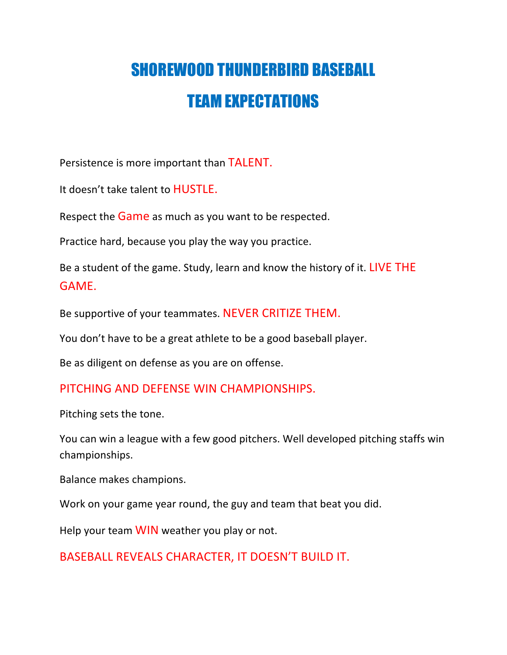## SHOREWOOD THUNDERBIRD BASEBALL TEAM EXPECTATIONS

Persistence is more important than TALENT.

It doesn't take talent to **HUSTLE**.

Respect the **Game** as much as you want to be respected.

Practice hard, because you play the way you practice.

Be a student of the game. Study, learn and know the history of it. LIVE THE GAME.

Be supportive of your teammates. NEVER CRITIZE THEM.

You don't have to be a great athlete to be a good baseball player.

Be as diligent on defense as you are on offense.

## PITCHING AND DEFENSE WIN CHAMPIONSHIPS.

Pitching sets the tone.

You can win a league with a few good pitchers. Well developed pitching staffs win championships.

Balance makes champions.

Work on your game year round, the guy and team that beat you did.

Help your team WIN weather you play or not.

BASEBALL REVEALS CHARACTER, IT DOESN'T BUILD IT.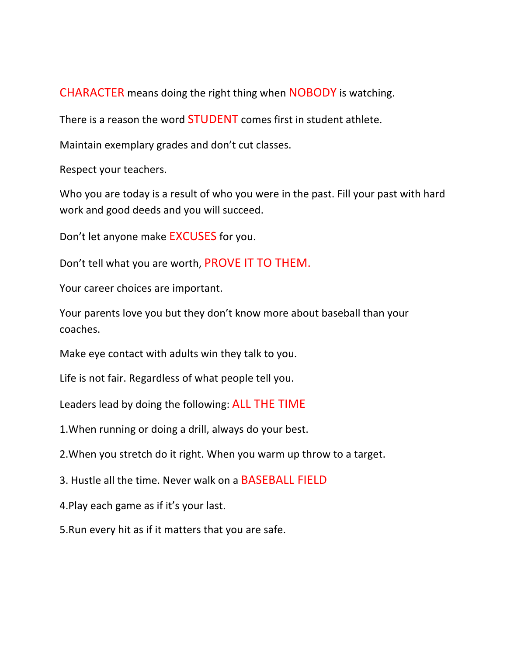**CHARACTER** means doing the right thing when **NOBODY** is watching.

There is a reason the word **STUDENT** comes first in student athlete.

Maintain exemplary grades and don't cut classes.

Respect your teachers.

Who you are today is a result of who you were in the past. Fill your past with hard work and good deeds and you will succeed.

Don't let anyone make **EXCUSES** for you.

Don't tell what you are worth, PROVE IT TO THEM.

Your career choices are important.

Your parents love you but they don't know more about baseball than your coaches.

Make eye contact with adults win they talk to you.

Life is not fair. Regardless of what people tell you.

Leaders lead by doing the following: ALL THE TIME

1. When running or doing a drill, always do your best.

2. When you stretch do it right. When you warm up throw to a target.

3. Hustle all the time. Never walk on a **BASEBALL FIELD** 

4. Play each game as if it's your last.

5. Run every hit as if it matters that you are safe.